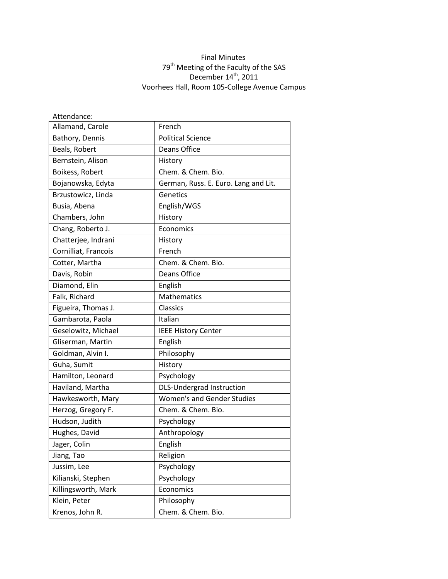## Final Minutes 79<sup>th</sup> Meeting of the Faculty of the SAS December  $14^{\text{th}}$ , 2011 Voorhees Hall, Room 105-College Avenue Campus

| Attendance:          |                                      |
|----------------------|--------------------------------------|
| Allamand, Carole     | French                               |
| Bathory, Dennis      | <b>Political Science</b>             |
| Beals, Robert        | Deans Office                         |
| Bernstein, Alison    | History                              |
| Boikess, Robert      | Chem. & Chem. Bio.                   |
| Bojanowska, Edyta    | German, Russ. E. Euro. Lang and Lit. |
| Brzustowicz, Linda   | Genetics                             |
| Busia, Abena         | English/WGS                          |
| Chambers, John       | History                              |
| Chang, Roberto J.    | Economics                            |
| Chatterjee, Indrani  | History                              |
| Cornilliat, Francois | French                               |
| Cotter, Martha       | Chem. & Chem. Bio.                   |
| Davis, Robin         | <b>Deans Office</b>                  |
| Diamond, Elin        | English                              |
| Falk, Richard        | <b>Mathematics</b>                   |
| Figueira, Thomas J.  | Classics                             |
| Gambarota, Paola     | Italian                              |
| Geselowitz, Michael  | <b>IEEE History Center</b>           |
| Gliserman, Martin    | English                              |
| Goldman, Alvin I.    | Philosophy                           |
| Guha, Sumit          | History                              |
| Hamilton, Leonard    | Psychology                           |
| Haviland, Martha     | <b>DLS-Undergrad Instruction</b>     |
| Hawkesworth, Mary    | <b>Women's and Gender Studies</b>    |
| Herzog, Gregory F.   | Chem. & Chem. Bio.                   |
| Hudson, Judith       | Psychology                           |
| Hughes, David        | Anthropology                         |
| Jager, Colin         | English                              |
| Jiang, Tao           | Religion                             |
| Jussim, Lee          | Psychology                           |
| Kilianski, Stephen   | Psychology                           |
| Killingsworth, Mark  | Economics                            |
| Klein, Peter         | Philosophy                           |
| Krenos, John R.      | Chem. & Chem. Bio.                   |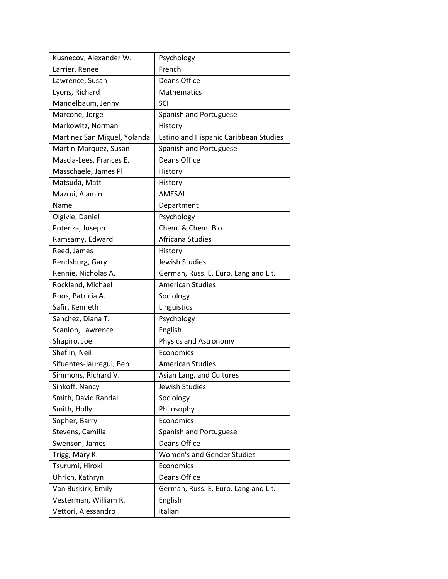| Kusnecov, Alexander W.       | Psychology                            |
|------------------------------|---------------------------------------|
| Larrier, Renee               | French                                |
| Lawrence, Susan              | Deans Office                          |
| Lyons, Richard               | <b>Mathematics</b>                    |
| Mandelbaum, Jenny            | <b>SCI</b>                            |
| Marcone, Jorge               | Spanish and Portuguese                |
| Markowitz, Norman            | History                               |
| Martinez San Miguel, Yolanda | Latino and Hispanic Caribbean Studies |
| Martin-Marquez, Susan        | Spanish and Portuguese                |
| Mascia-Lees, Frances E.      | <b>Deans Office</b>                   |
| Masschaele, James Pl         | History                               |
| Matsuda, Matt                | History                               |
| Mazrui, Alamin               | AMESALL                               |
| Name                         | Department                            |
| Olgivie, Daniel              | Psychology                            |
| Potenza, Joseph              | Chem. & Chem. Bio.                    |
| Ramsamy, Edward              | Africana Studies                      |
| Reed, James                  | History                               |
| Rendsburg, Gary              | Jewish Studies                        |
| Rennie, Nicholas A.          | German, Russ. E. Euro. Lang and Lit.  |
| Rockland, Michael            | <b>American Studies</b>               |
| Roos, Patricia A.            | Sociology                             |
| Safir, Kenneth               | Linguistics                           |
| Sanchez, Diana T.            | Psychology                            |
| Scanlon, Lawrence            | English                               |
| Shapiro, Joel                | Physics and Astronomy                 |
| Sheflin, Neil                | Economics                             |
| Sifuentes-Jauregui, Ben      | <b>American Studies</b>               |
| Simmons, Richard V.          | Asian Lang. and Cultures              |
| Sinkoff, Nancy               | Jewish Studies                        |
| Smith, David Randall         | Sociology                             |
| Smith, Holly                 | Philosophy                            |
| Sopher, Barry                | Economics                             |
| Stevens, Camilla             | Spanish and Portuguese                |
| Swenson, James               | <b>Deans Office</b>                   |
| Trigg, Mary K.               | <b>Women's and Gender Studies</b>     |
| Tsurumi, Hiroki              | Economics                             |
| Uhrich, Kathryn              | Deans Office                          |
| Van Buskirk, Emily           | German, Russ. E. Euro. Lang and Lit.  |
| Vesterman, William R.        | English                               |
| Vettori, Alessandro          | Italian                               |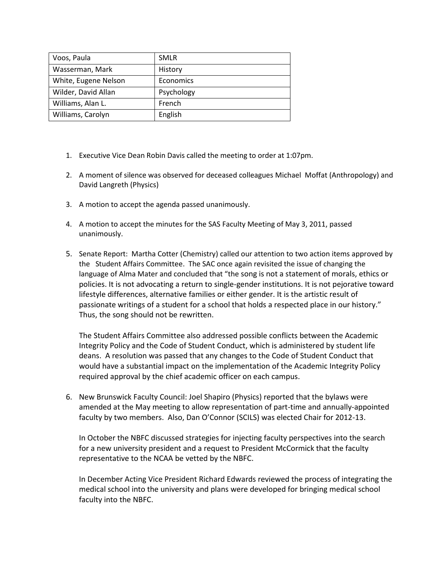| Voos, Paula          | <b>SMLR</b> |
|----------------------|-------------|
| Wasserman, Mark      | History     |
| White, Eugene Nelson | Economics   |
| Wilder, David Allan  | Psychology  |
| Williams, Alan L.    | French      |
| Williams, Carolyn    | English     |

- 1. Executive Vice Dean Robin Davis called the meeting to order at 1:07pm.
- 2. A moment of silence was observed for deceased colleagues Michael Moffat (Anthropology) and David Langreth (Physics)
- 3. A motion to accept the agenda passed unanimously.
- 4. A motion to accept the minutes for the SAS Faculty Meeting of May 3, 2011, passed unanimously.
- 5. Senate Report: Martha Cotter (Chemistry) called our attention to two action items approved by the Student Affairs Committee. The SAC once again revisited the issue of changing the language of Alma Mater and concluded that "the song is not a statement of morals, ethics or policies. It is not advocating a return to single‐gender institutions. It is not pejorative toward lifestyle differences, alternative families or either gender. It is the artistic result of passionate writings of a student for a school that holds a respected place in our history." Thus, the song should not be rewritten.

The Student Affairs Committee also addressed possible conflicts between the Academic Integrity Policy and the Code of Student Conduct, which is administered by student life deans. A resolution was passed that any changes to the Code of Student Conduct that would have a substantial impact on the implementation of the Academic Integrity Policy required approval by the chief academic officer on each campus.

6. New Brunswick Faculty Council: Joel Shapiro (Physics) reported that the bylaws were amended at the May meeting to allow representation of part-time and annually-appointed faculty by two members. Also, Dan O'Connor (SCILS) was elected Chair for 2012-13.

In October the NBFC discussed strategies for injecting faculty perspectives into the search for a new university president and a request to President McCormick that the faculty representative to the NCAA be vetted by the NBFC.

In December Acting Vice President Richard Edwards reviewed the process of integrating the medical school into the university and plans were developed for bringing medical school faculty into the NBFC.